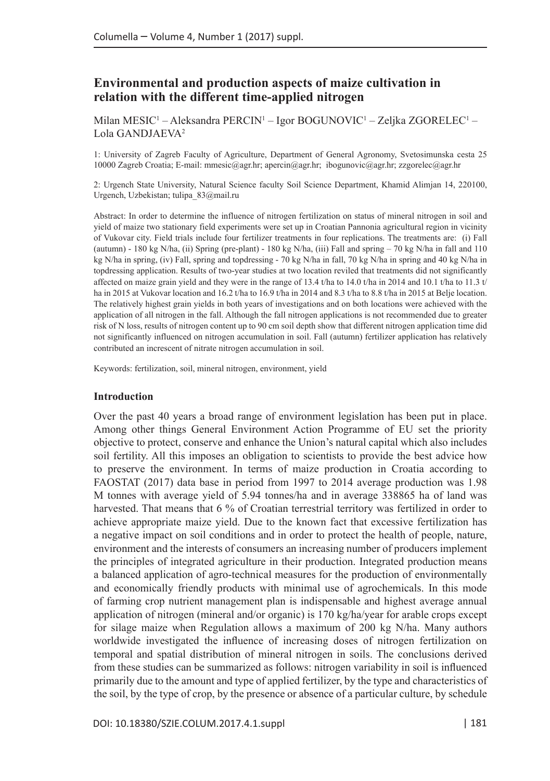# **Environmental and production aspects of maize cultivation in relation with the different time-applied nitrogen**

Milan MESIC<sup>1</sup> – Aleksandra PERCIN<sup>1</sup> – Igor BOGUNOVIC<sup>1</sup> – Zeljka ZGORELEC<sup>1</sup> – Lola GANDJAEVA2

1: University of Zagreb Faculty of Agriculture, Department of General Agronomy, Svetosimunska cesta 25 10000 Zagreb Croatia; E-mail: [mmesic@agr.hr](mailto:mmesic@agr.hr); [apercin@agr.hr;](mailto:apercin@agr.hr) [ibogunovic@agr.hr;](mailto:ibogunovic@agr.hr) [zzgorelec@agr.hr](mailto:zzgorelec@agr.hr)

2: Urgench State University, Natural Science faculty Soil Science Department, Khamid Alimjan 14, 220100, Urgench, Uzbekistan; [tulipa\\_83@mail.ru](mailto:tulipa_83@mail.ru)

Abstract: In order to determine the influence of nitrogen fertilization on status of mineral nitrogen in soil and yield of maize two stationary field experiments were set up in Croatian Pannonia agricultural region in vicinity of Vukovar city. Field trials include four fertilizer treatments in four replications. The treatments are: (i) Fall (autumn) - 180 kg N/ha, (ii) Spring (pre-plant) - 180 kg N/ha, (iii) Fall and spring – 70 kg N/ha in fall and 110 kg N/ha in spring, (iv) Fall, spring and topdressing - 70 kg N/ha in fall, 70 kg N/ha in spring and 40 kg N/ha in topdressing application. Results of two-year studies at two location reviled that treatments did not significantly affected on maize grain yield and they were in the range of 13.4 t/ha to 14.0 t/ha in 2014 and 10.1 t/ha to 11.3 t/ ha in 2015 at Vukovar location and 16.2 t/ha to 16.9 t/ha in 2014 and 8.3 t/ha to 8.8 t/ha in 2015 at Belje location. The relatively highest grain yields in both years of investigations and on both locations were achieved with the application of all nitrogen in the fall. Although the fall nitrogen applications is not recommended due to greater risk of N loss, results of nitrogen content up to 90 cm soil depth show that different nitrogen application time did not significantly influenced on nitrogen accumulation in soil. Fall (autumn) fertilizer application has relatively contributed an increscent of nitrate nitrogen accumulation in soil.

Keywords: fertilization, soil, mineral nitrogen, environment, yield

### **Introduction**

Over the past 40 years a broad range of environment legislation has been put in place. Among other things General Environment Action Programme of EU set the priority objective to protect, conserve and enhance the Union's natural capital which also includes soil fertility. All this imposes an obligation to scientists to provide the best advice how to preserve the environment. In terms of maize production in Croatia according to FAOSTAT (2017) data base in period from 1997 to 2014 average production was 1.98 M tonnes with average yield of 5.94 tonnes/ha and in average 338865 ha of land was harvested. That means that 6 % of Croatian terrestrial territory was fertilized in order to achieve appropriate maize yield. Due to the known fact that excessive fertilization has a negative impact on soil conditions and in order to protect the health of people, nature, environment and the interests of consumers an increasing number of producers implement the principles of integrated agriculture in their production. Integrated production means a balanced application of agro-technical measures for the production of environmentally and economically friendly products with minimal use of agrochemicals. In this mode of farming crop nutrient management plan is indispensable and highest average annual application of nitrogen (mineral and/or organic) is 170 kg/ha/year for arable crops except for silage maize when Regulation allows a maximum of 200 kg N/ha. Many authors worldwide investigated the influence of increasing doses of nitrogen fertilization on temporal and spatial distribution of mineral nitrogen in soils. The conclusions derived from these studies can be summarized as follows: nitrogen variability in soil is influenced primarily due to the amount and type of applied fertilizer, by the type and characteristics of the soil, by the type of crop, by the presence or absence of a particular culture, by schedule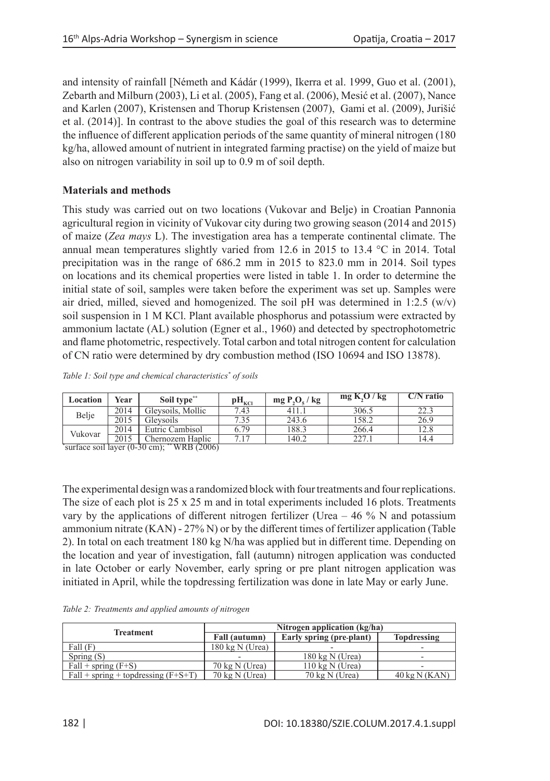and intensity of rainfall [Németh and Kádár (1999), Ikerra et al. 1999, Guo et al. (2001), Zebarth and Milburn (2003), Li et al. (2005), Fang et al. (2006), Mesić et al. (2007), Nance and Karlen (2007), Kristensen and Thorup Kristensen (2007), Gami et al. (2009), Jurišić et al. (2014)]. In contrast to the above studies the goal of this research was to determine the influence of different application periods of the same quantity of mineral nitrogen (180 kg/ha, allowed amount of nutrient in integrated farming practise) on the yield of maize but also on nitrogen variability in soil up to 0.9 m of soil depth.

## **Materials and methods**

This study was carried out on two locations (Vukovar and Belje) in Croatian Pannonia agricultural region in vicinity of Vukovar city during two growing season (2014 and 2015) of maize (*Zea mays* L). The investigation area has a temperate continental climate. The annual mean temperatures slightly varied from 12.6 in 2015 to 13.4  $\degree$ C in 2014. Total precipitation was in the range of 686.2 mm in 2015 to 823.0 mm in 2014. Soil types on locations and its chemical properties were listed in table 1. In order to determine the initial state of soil, samples were taken before the experiment was set up. Samples were air dried, milled, sieved and homogenized. The soil pH was determined in 1:2.5  $(w/v)$ soil suspension in 1 M KCl. Plant available phosphorus and potassium were extracted by ammonium lactate (AL) solution (Egner et al., 1960) and detected by spectrophotometric and flame photometric, respectively. Total carbon and total nitrogen content for calculation of CN ratio were determined by dry combustion method (ISO 10694 and ISO 13878).

| Table 1: Soil type and chemical characteristics* of soils |  |  |  |
|-----------------------------------------------------------|--|--|--|
|                                                           |  |  |  |

| Location | Year | Soil type**                                               | $\rm{pH}_{\rm{KCl}}$ | $mg P_1O_{\epsilon}/kg$ | mg K <sub>2</sub> O/kg | $C/N$ ratio |
|----------|------|-----------------------------------------------------------|----------------------|-------------------------|------------------------|-------------|
|          | 2014 | Glevsoils, Mollic                                         | 7.43                 | 411.1                   | 306.5                  | 22.3        |
| Belje    | 2015 | Glevsoils                                                 | 7.35                 | 243.6                   | 158.2                  | 26.9        |
|          | 2014 | Eutric Cambisol                                           | 6.79                 | 188.3                   | 266.4                  | 12.8        |
| Vukovar  | 2015 | Chernozem Haplic                                          | 7.17                 | 140.2                   | 227.1                  | 14.4        |
|          |      | "surface soil layer $(0-30 \text{ cm})$ ; ** WRB $(2006)$ |                      |                         |                        |             |

The experimental design was a randomized block with four treatments and four replications. The size of each plot is 25 x 25 m and in total experiments included 16 plots. Treatments vary by the applications of different nitrogen fertilizer (Urea  $-46\%$  N and potassium ammonium nitrate (KAN) - 27% N) or by the different times of fertilizer application (Table 2). In total on each treatment 180 kg N/ha was applied but in different time. Depending on the location and year of investigation, fall (autumn) nitrogen application was conducted in late October or early November, early spring or pre plant nitrogen application was initiated in April, while the topdressing fertilization was done in late May or early June.

|  | Table 2: Treatments and applied amounts of nitrogen |  |  |  |  |  |
|--|-----------------------------------------------------|--|--|--|--|--|
|--|-----------------------------------------------------|--|--|--|--|--|

|                                       | Nitrogen application (kg/ha) |                           |                                |  |  |  |  |
|---------------------------------------|------------------------------|---------------------------|--------------------------------|--|--|--|--|
| <b>Treatment</b>                      | Fall (autumn)                | Early spring (pre-plant)  | <b>Topdressing</b>             |  |  |  |  |
| Fall(F)                               | $180 \text{ kg}$ N (Urea)    | -                         |                                |  |  |  |  |
| Spring $(S)$                          |                              | $180 \text{ kg}$ N (Urea) |                                |  |  |  |  |
| $Fall + spring (F+S)$                 | $70 \text{ kg}$ N (Urea)     | $110 \text{ kg}$ N (Urea) |                                |  |  |  |  |
| $Fall + spring + topdressing (F+S+T)$ | $70 \text{ kg}$ N (Urea)     | $70 \text{ kg}$ N (Urea)  | $40 \text{ kg} \text{N}$ (KAN) |  |  |  |  |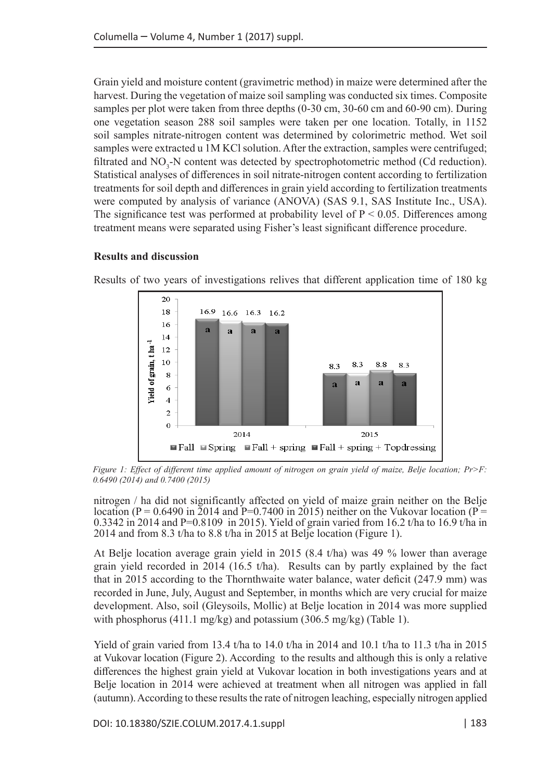Grain yield and moisture content (gravimetric method) in maize were determined after the harvest. During the vegetation of maize soil sampling was conducted six times. Composite samples per plot were taken from three depths (0-30 cm, 30-60 cm and 60-90 cm). During one vegetation season 288 soil samples were taken per one location. Totally, in 1152 soil samples nitrate-nitrogen content was determined by colorimetric method. Wet soil samples were extracted u 1M KCl solution. After the extraction, samples were centrifuged; filtrated and  $NO_3$ -N content was detected by spectrophotometric method (Cd reduction). Statistical analyses of differences in soil nitrate-nitrogen content according to fertilization treatments for soil depth and differences in grain yield according to fertilization treatments were computed by analysis of variance (ANOVA) (SAS 9.1, SAS Institute Inc., USA). The significance test was performed at probability level of  $P < 0.05$ . Differences among treatment means were separated using Fisher's least significant difference procedure.

### **Results and discussion**



Results of two years of investigations relives that different application time of 180 kg

*Figure 1: Effect of different time applied amount of nitrogen on grain yield of maize, Belje location; Pr>F: 0.6490 (2014) and 0.7400 (2015)*

nitrogen / ha did not significantly affected on yield of maize grain neither on the Belje location (P = 0.6490 in 2014 and P=0.7400 in 2015) neither on the Vukovar location (P = 0.3342 in 2014 and P=0.8109 in 2015). Yield of grain varied from 16.2 t/ha to 16.9 t/ha in 2014 and from 8.3 t/ha to 8.8 t/ha in 2015 at Belje location (Figure 1).

At Belje location average grain yield in 2015 (8.4 t/ha) was 49 % lower than average grain yield recorded in 2014 (16.5 t/ha). Results can by partly explained by the fact that in 2015 according to the Thornthwaite water balance, water deficit (247.9 mm) was recorded in June, July, August and September, in months which are very crucial for maize development. Also, soil (Gleysoils, Mollic) at Belje location in 2014 was more supplied with phosphorus (411.1 mg/kg) and potassium (306.5 mg/kg) (Table 1).

Yield of grain varied from 13.4 t/ha to 14.0 t/ha in 2014 and 10.1 t/ha to 11.3 t/ha in 2015 at Vukovar location (Figure 2). According to the results and although this is only a relative differences the highest grain yield at Vukovar location in both investigations years and at Belje location in 2014 were achieved at treatment when all nitrogen was applied in fall (autumn). According to these results the rate of nitrogen leaching, especially nitrogen applied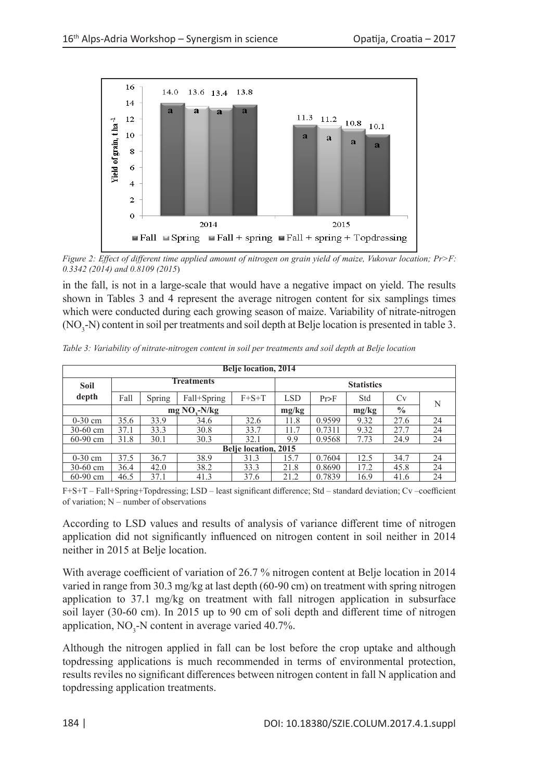

*Figure 2: Effect of different time applied amount of nitrogen on grain yield of maize, Vukovar location; Pr>F: 0.3342 (2014) and 0.8109 (2015*)

in the fall, is not in a large-scale that would have a negative impact on yield. The results shown in Tables 3 and 4 represent the average nitrogen content for six samplings times which were conducted during each growing season of maize. Variability of nitrate-nitrogen  $(NO<sub>3</sub>-N)$  content in soil per treatments and soil depth at Belje location is presented in table 3.

*Table 3: Variability of nitrate-nitrogen content in soil per treatments and soil depth at Belje location*

| <b>Belje location, 2014</b> |                             |        |                |             |                   |        |       |               |    |  |
|-----------------------------|-----------------------------|--------|----------------|-------------|-------------------|--------|-------|---------------|----|--|
| <b>Soil</b>                 | <b>Treatments</b>           |        |                |             | <b>Statistics</b> |        |       |               |    |  |
| depth                       | Fall                        | Spring | Fall+Spring    | $F + S + T$ | <b>LSD</b>        | Pr>F   | Std   | Cv            | N  |  |
|                             |                             |        | $mg NO, -N/kg$ |             | mg/kg             |        | mg/kg | $\frac{0}{0}$ |    |  |
| $0-30$ cm                   | 35.6                        | 33.9   | 34.6           | 32.6        | 11.8              | 0.9599 | 9.32  | 27.6          | 24 |  |
| $30-60$ cm                  | 37.1                        | 33.3   | 30.8           | 33.7        | 11.7              | 0.7311 | 9.32  | 27.7          | 24 |  |
| $60 - 90$ cm                | 31.8                        | 30.1   | 30.3           | 32.1        | 9.9               | 0.9568 | 7.73  | 24.9          | 24 |  |
|                             | <b>Belje location, 2015</b> |        |                |             |                   |        |       |               |    |  |
| $0-30$ cm                   | 37.5                        | 36.7   | 38.9           | 31.3        | 15.7              | 0.7604 | 12.5  | 34.7          | 24 |  |
| $30-60$ cm                  | 36.4                        | 42.0   | 38.2           | 33.3        | 21.8              | 0.8690 | 17.2  | 45.8          | 24 |  |
| $60-90$ cm                  | 46.5                        | 37.1   | 41.3           | 37.6        | 21.2              | 0.7839 | 16.9  | 41.6          | 24 |  |

F+S+T – Fall+Spring+Topdressing; LSD – least significant difference; Std – standard deviation; Cv –coefficient of variation; N – number of observations

According to LSD values and results of analysis of variance different time of nitrogen application did not significantly influenced on nitrogen content in soil neither in 2014 neither in 2015 at Belje location.

With average coefficient of variation of 26.7 % nitrogen content at Belje location in 2014 varied in range from 30.3 mg/kg at last depth (60-90 cm) on treatment with spring nitrogen application to 37.1 mg/kg on treatment with fall nitrogen application in subsurface soil layer (30-60 cm). In 2015 up to 90 cm of soli depth and different time of nitrogen application,  $NO_3$ -N content in average varied 40.7%.

Although the nitrogen applied in fall can be lost before the crop uptake and although topdressing applications is much recommended in terms of environmental protection, results reviles no significant differences between nitrogen content in fall N application and topdressing application treatments.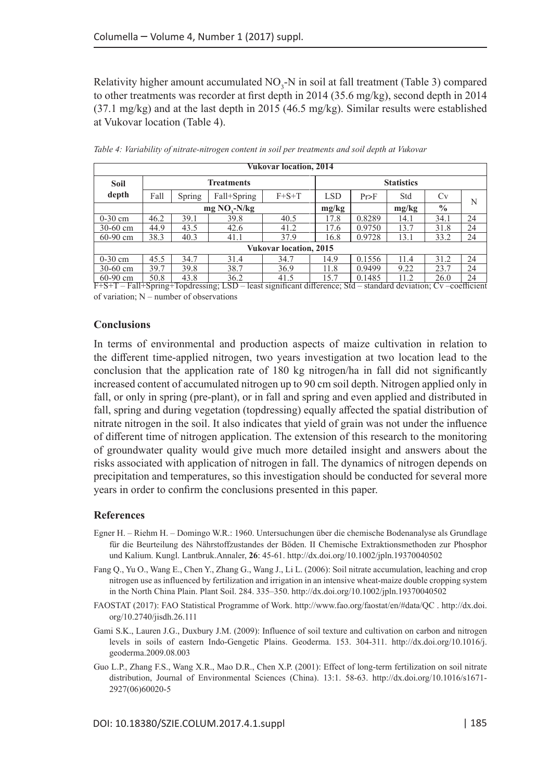Relativity higher amount accumulated  $NO_3$ -N in soil at fall treatment (Table 3) compared to other treatments was recorder at first depth in 2014 (35.6 mg/kg), second depth in 2014 (37.1 mg/kg) and at the last depth in 2015 (46.5 mg/kg). Similar results were established at Vukovar location (Table 4).

| <b>Vukovar location, 2014</b> |                   |        |               |             |            |                   |       |               |    |  |
|-------------------------------|-------------------|--------|---------------|-------------|------------|-------------------|-------|---------------|----|--|
| <b>Soil</b>                   | <b>Treatments</b> |        |               |             |            | <b>Statistics</b> |       |               |    |  |
| depth                         | Fall              | Spring | Fall+Spring   | $F + S + T$ | <b>LSD</b> | $Pr$ >F           | Std   | <b>Cv</b>     | N  |  |
|                               |                   |        | $mg NOz-N/kg$ |             | mg/kg      |                   | mg/kg | $\frac{0}{0}$ |    |  |
| $0-30$ cm                     | 46.2              | 39.1   | 39.8          | 40.5        | 17.8       | 0.8289            | 14.1  | 34.1          | 24 |  |
| $30-60$ cm                    | 44.9              | 43.5   | 42.6          | 41.2        | 17.6       | 0.9750            | 13.7  | 31.8          | 24 |  |
| $60-90$ cm                    | 38.3              | 40.3   | 41.1          | 37.9        | 16.8       | 0.9728            | 13.1  | 33.2          | 24 |  |
| <b>Vukovar location, 2015</b> |                   |        |               |             |            |                   |       |               |    |  |
| $0-30$ cm                     | 45.5              | 34.7   | 31.4          | 34.7        | 14.9       | 0.1556            | 11.4  | 31.2          | 24 |  |
| $30-60$ cm                    | 39.7              | 39.8   | 38.7          | 36.9        | 11.8       | 0.9499            | 9.22  | 23.7          | 24 |  |
| $60-90$ cm                    | 50.8              | 43.8   | 36.2          | 41.5        | 15.7       | 0.1485            | 11.2  | 26.0          | 24 |  |

*Table 4: Variability of nitrate-nitrogen content in soil per treatments and soil depth at Vukovar*

60-90 cm 50.8 43.8 36.2 41.5 15.7 0.1485 11.2 26.0 24 F+S+T – Fall+Spring+Topdressing; LSD – least significant difference; Std – standard deviation; Cv –coefficient of variation; N – number of observations

### **Conclusions**

In terms of environmental and production aspects of maize cultivation in relation to the different time-applied nitrogen, two years investigation at two location lead to the conclusion that the application rate of 180 kg nitrogen/ha in fall did not significantly increased content of accumulated nitrogen up to 90 cm soil depth. Nitrogen applied only in fall, or only in spring (pre-plant), or in fall and spring and even applied and distributed in fall, spring and during vegetation (topdressing) equally affected the spatial distribution of nitrate nitrogen in the soil. It also indicates that yield of grain was not under the influence of different time of nitrogen application. The extension of this research to the monitoring of groundwater quality would give much more detailed insight and answers about the risks associated with application of nitrogen in fall. The dynamics of nitrogen depends on precipitation and temperatures, so this investigation should be conducted for several more years in order to confirm the conclusions presented in this paper.

### **References**

- Egner H. Riehm H. Domingo W.R.: 1960. Untersuchungen über die chemische Bodenanalyse als Grundlage für die Beurteilung des Nährstoffzustandes der Böden. II Chemische Extraktionsmethoden zur Phosphor und Kalium. Kungl. Lantbruk.Annaler, **26**: 45-61. <http://dx.doi.org/10.1002/jpln.19370040502>
- Fang Q., Yu O., Wang E., Chen Y., Zhang G., Wang J., Li L. (2006): Soil nitrate accumulation, leaching and crop nitrogen use as influenced by fertilization and irrigation in an intensive wheat-maize double cropping system in the North China Plain. Plant Soil. 284. 335–350. <http://dx.doi.org/10.1002/jpln.19370040502>
- FAOSTAT (2017): FAO Statistical Programme of Work. <http://www.fao.org/faostat/en/#data/QC>. [http://dx.doi.](http://dx.doi.org/10.2740/jisdh.26.111) [org/10.2740/jisdh.26.111](http://dx.doi.org/10.2740/jisdh.26.111)
- Gami S.K., Lauren J.G., Duxbury J.M. (2009): Influence of soil texture and cultivation on carbon and nitrogen levels in soils of eastern Indo-Gengetic Plains. Geoderma. 153. 304-311. [http://dx.doi.org/10.1016/j.](http://dx.doi.org/10.1016/j.geoderma.2009.08.003) [geoderma.2009.08.003](http://dx.doi.org/10.1016/j.geoderma.2009.08.003)
- Guo L.P., Zhang F.S., Wang X.R., Mao D.R., Chen X.P. (2001): Effect of long-term fertilization on soil nitrate distribution, Journal of Environmental Sciences (China). 13:1. 58-63. [http://dx.doi.org/10.1016/s1671-](http://dx.doi.org/10.1016/s1671-2927(06)60020-5) [2927\(06\)60020-5](http://dx.doi.org/10.1016/s1671-2927(06)60020-5)